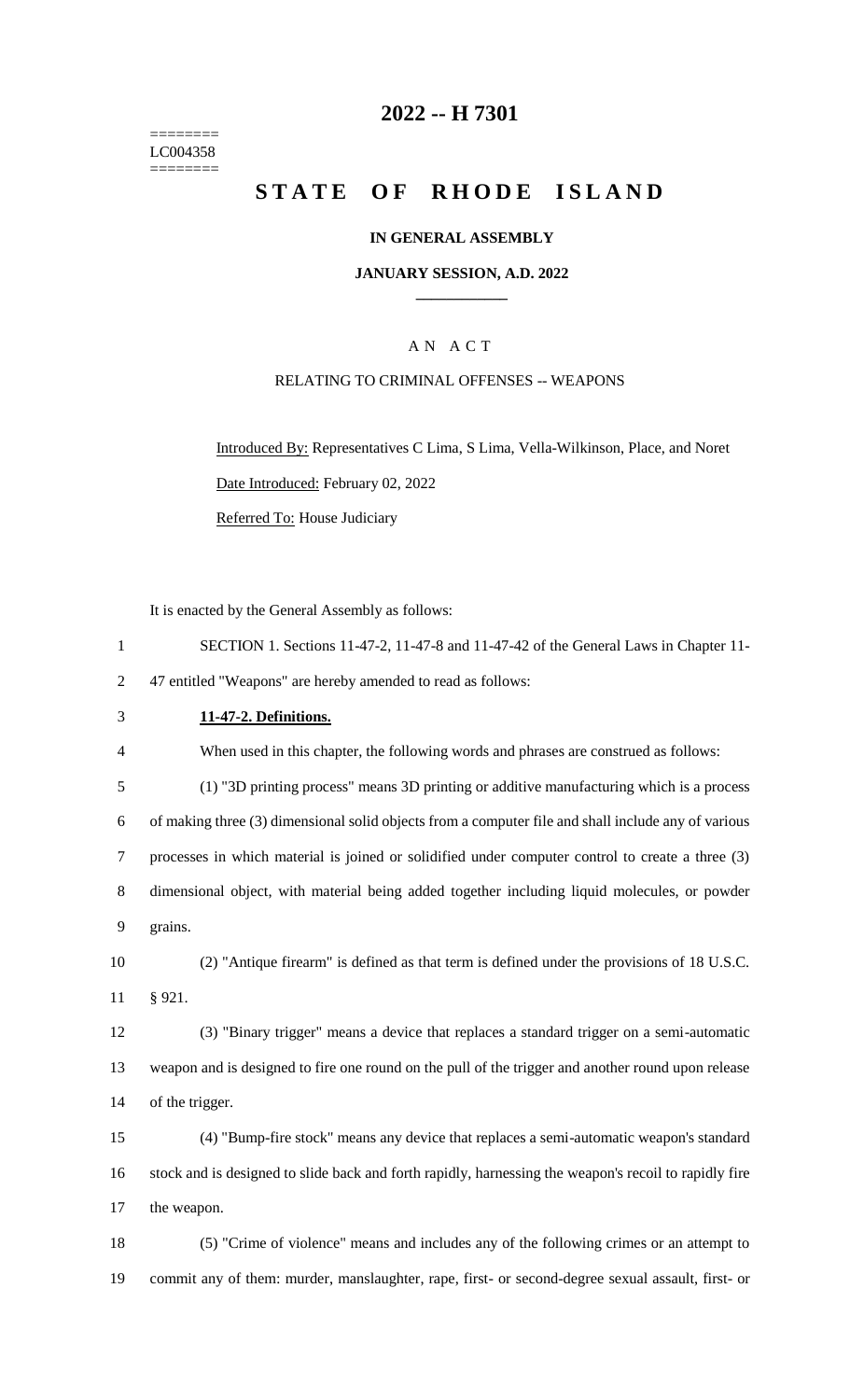======== LC004358  $=$ 

## **2022 -- H 7301**

# **STATE OF RHODE ISLAND**

## **IN GENERAL ASSEMBLY**

#### **JANUARY SESSION, A.D. 2022 \_\_\_\_\_\_\_\_\_\_\_\_**

## A N A C T

### RELATING TO CRIMINAL OFFENSES -- WEAPONS

Introduced By: Representatives C Lima, S Lima, Vella-Wilkinson, Place, and Noret Date Introduced: February 02, 2022 Referred To: House Judiciary

It is enacted by the General Assembly as follows:

| $\mathbf{1}$   | SECTION 1. Sections 11-47-2, 11-47-8 and 11-47-42 of the General Laws in Chapter 11-                  |
|----------------|-------------------------------------------------------------------------------------------------------|
| 2              | 47 entitled "Weapons" are hereby amended to read as follows:                                          |
| 3              | 11-47-2. Definitions.                                                                                 |
| $\overline{4}$ | When used in this chapter, the following words and phrases are construed as follows:                  |
| 5              | (1) "3D printing process" means 3D printing or additive manufacturing which is a process              |
| 6              | of making three (3) dimensional solid objects from a computer file and shall include any of various   |
| $\overline{7}$ | processes in which material is joined or solidified under computer control to create a three (3)      |
| 8              | dimensional object, with material being added together including liquid molecules, or powder          |
| 9              | grains.                                                                                               |
| 10             | (2) "Antique firearm" is defined as that term is defined under the provisions of 18 U.S.C.            |
| 11             | § 921.                                                                                                |
| 12             | (3) "Binary trigger" means a device that replaces a standard trigger on a semi-automatic              |
| 13             | weapon and is designed to fire one round on the pull of the trigger and another round upon release    |
| 14             | of the trigger.                                                                                       |
| 15             | (4) "Bump-fire stock" means any device that replaces a semi-automatic weapon's standard               |
| 16             | stock and is designed to slide back and forth rapidly, harnessing the weapon's recoil to rapidly fire |
| 17             | the weapon.                                                                                           |
| 18             | (5) "Crime of violence" means and includes any of the following crimes or an attempt to               |
| 19             | commit any of them: murder, manslaughter, rape, first- or second-degree sexual assault, first- or     |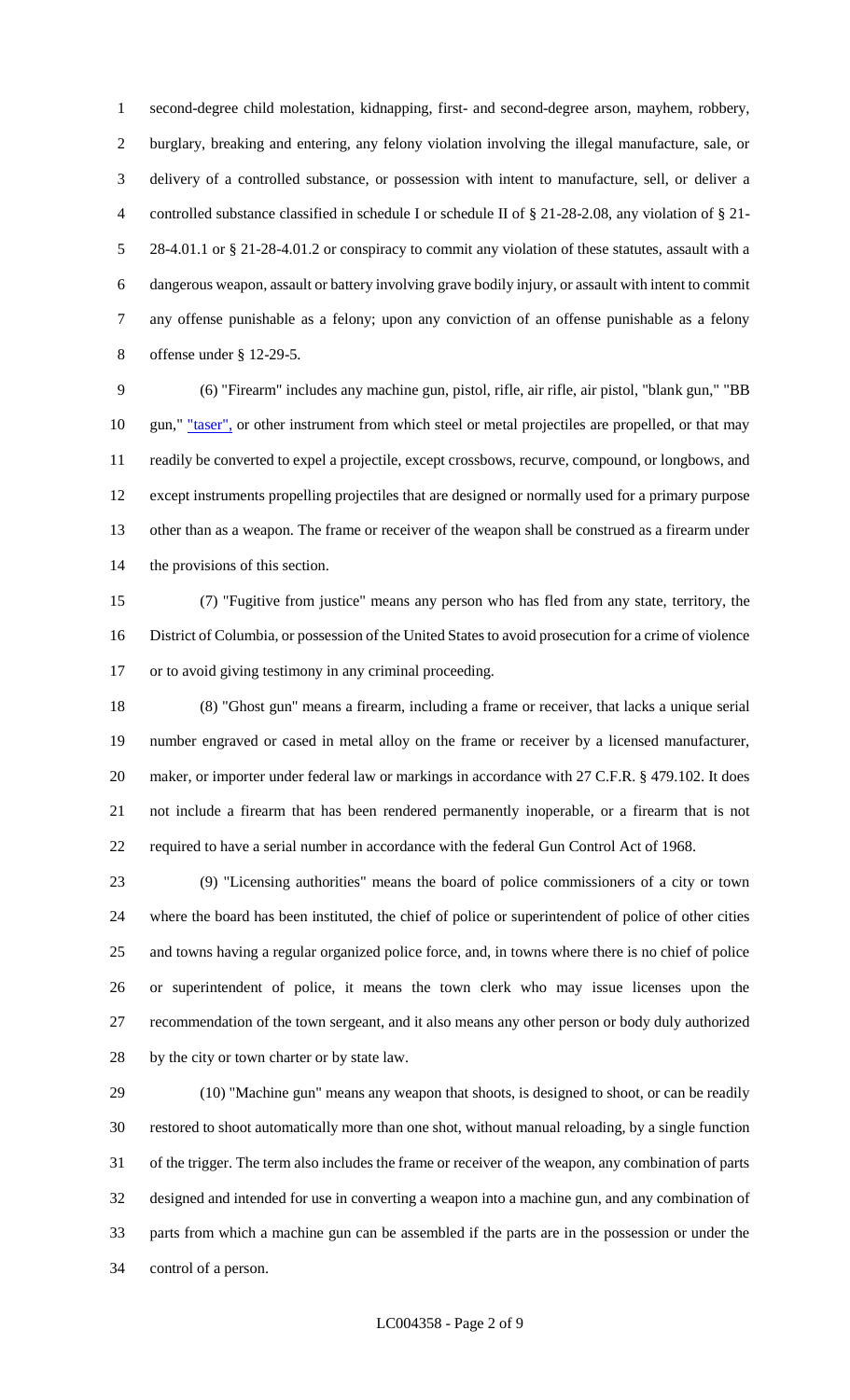second-degree child molestation, kidnapping, first- and second-degree arson, mayhem, robbery, burglary, breaking and entering, any felony violation involving the illegal manufacture, sale, or delivery of a controlled substance, or possession with intent to manufacture, sell, or deliver a controlled substance classified in schedule I or schedule II of § 21-28-2.08, any violation of § 21- 28-4.01.1 or § 21-28-4.01.2 or conspiracy to commit any violation of these statutes, assault with a dangerous weapon, assault or battery involving grave bodily injury, or assault with intent to commit any offense punishable as a felony; upon any conviction of an offense punishable as a felony offense under § 12-29-5.

 (6) "Firearm" includes any machine gun, pistol, rifle, air rifle, air pistol, "blank gun," "BB 10 gun," <u>"taser"</u>, or other instrument from which steel or metal projectiles are propelled, or that may readily be converted to expel a projectile, except crossbows, recurve, compound, or longbows, and except instruments propelling projectiles that are designed or normally used for a primary purpose other than as a weapon. The frame or receiver of the weapon shall be construed as a firearm under the provisions of this section.

 (7) "Fugitive from justice" means any person who has fled from any state, territory, the District of Columbia, or possession of the United States to avoid prosecution for a crime of violence or to avoid giving testimony in any criminal proceeding.

 (8) "Ghost gun" means a firearm, including a frame or receiver, that lacks a unique serial number engraved or cased in metal alloy on the frame or receiver by a licensed manufacturer, 20 maker, or importer under federal law or markings in accordance with 27 C.F.R. § 479.102. It does not include a firearm that has been rendered permanently inoperable, or a firearm that is not required to have a serial number in accordance with the federal Gun Control Act of 1968.

 (9) "Licensing authorities" means the board of police commissioners of a city or town where the board has been instituted, the chief of police or superintendent of police of other cities and towns having a regular organized police force, and, in towns where there is no chief of police or superintendent of police, it means the town clerk who may issue licenses upon the recommendation of the town sergeant, and it also means any other person or body duly authorized by the city or town charter or by state law.

 (10) "Machine gun" means any weapon that shoots, is designed to shoot, or can be readily restored to shoot automatically more than one shot, without manual reloading, by a single function of the trigger. The term also includes the frame or receiver of the weapon, any combination of parts designed and intended for use in converting a weapon into a machine gun, and any combination of parts from which a machine gun can be assembled if the parts are in the possession or under the control of a person.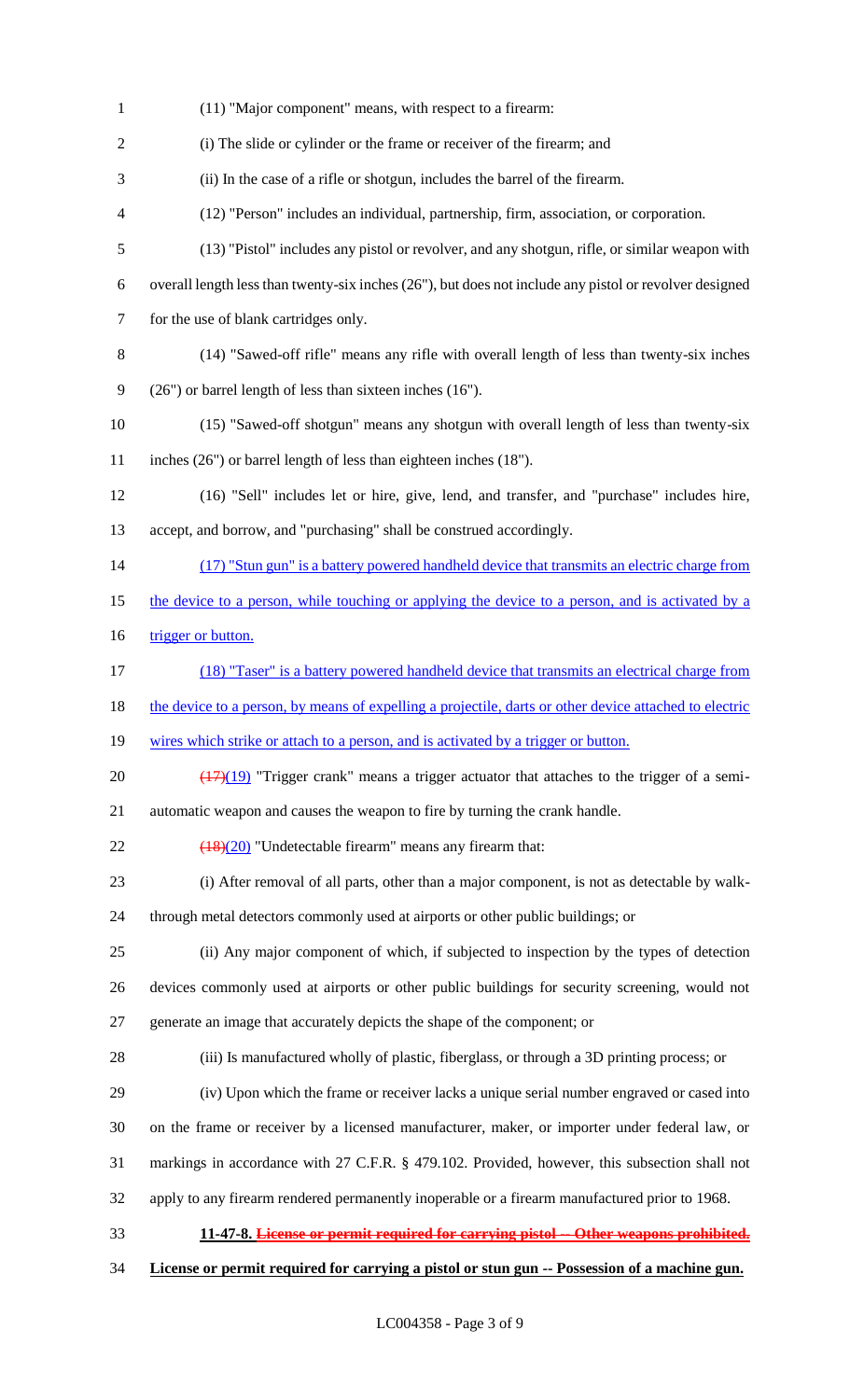| $\mathbf{1}$   | (11) "Major component" means, with respect to a firearm:                                                 |
|----------------|----------------------------------------------------------------------------------------------------------|
| $\overline{2}$ | (i) The slide or cylinder or the frame or receiver of the firearm; and                                   |
| 3              | (ii) In the case of a rifle or shotgun, includes the barrel of the firearm.                              |
| $\overline{4}$ | (12) "Person" includes an individual, partnership, firm, association, or corporation.                    |
| 5              | (13) "Pistol" includes any pistol or revolver, and any shotgun, rifle, or similar weapon with            |
| 6              | overall length less than twenty-six inches $(26)$ , but does not include any pistol or revolver designed |
| $\tau$         | for the use of blank cartridges only.                                                                    |
| 8              | (14) "Sawed-off rifle" means any rifle with overall length of less than twenty-six inches                |
| 9              | $(26)$ or barrel length of less than sixteen inches $(16)$ .                                             |
| 10             | (15) "Sawed-off shotgun" means any shotgun with overall length of less than twenty-six                   |
| 11             | inches $(26)$ or barrel length of less than eighteen inches $(18)$ .                                     |
| 12             | (16) "Sell" includes let or hire, give, lend, and transfer, and "purchase" includes hire,                |
| 13             | accept, and borrow, and "purchasing" shall be construed accordingly.                                     |
| 14             | (17) "Stun gun" is a battery powered handheld device that transmits an electric charge from              |
| 15             | the device to a person, while touching or applying the device to a person, and is activated by a         |
| 16             | trigger or button.                                                                                       |
| 17             | (18) "Taser" is a battery powered handheld device that transmits an electrical charge from               |
| 18             | the device to a person, by means of expelling a projectile, darts or other device attached to electric   |
| 19             | wires which strike or attach to a person, and is activated by a trigger or button.                       |
| 20             | $(17)(19)$ "Trigger crank" means a trigger actuator that attaches to the trigger of a semi-              |
| 21             | automatic weapon and causes the weapon to fire by turning the crank handle.                              |
| 22             | $\frac{(18)(20)}{(18)(20)}$ "Undetectable firearm" means any firearm that:                               |
| 23             | (i) After removal of all parts, other than a major component, is not as detectable by walk-              |
| 24             | through metal detectors commonly used at airports or other public buildings; or                          |
| 25             | (ii) Any major component of which, if subjected to inspection by the types of detection                  |
| 26             | devices commonly used at airports or other public buildings for security screening, would not            |
| 27             | generate an image that accurately depicts the shape of the component; or                                 |
| 28             | (iii) Is manufactured wholly of plastic, fiberglass, or through a 3D printing process; or                |
| 29             | (iv) Upon which the frame or receiver lacks a unique serial number engraved or cased into                |
| 30             | on the frame or receiver by a licensed manufacturer, maker, or importer under federal law, or            |
| 31             | markings in accordance with 27 C.F.R. § 479.102. Provided, however, this subsection shall not            |
| 32             | apply to any firearm rendered permanently inoperable or a firearm manufactured prior to 1968.            |
| 33             | 11-47-8. License or permit required for carrying pistol -- Other weapons prohibited.                     |
| 34             | License or permit required for carrying a pistol or stun gun -- Possession of a machine gun.             |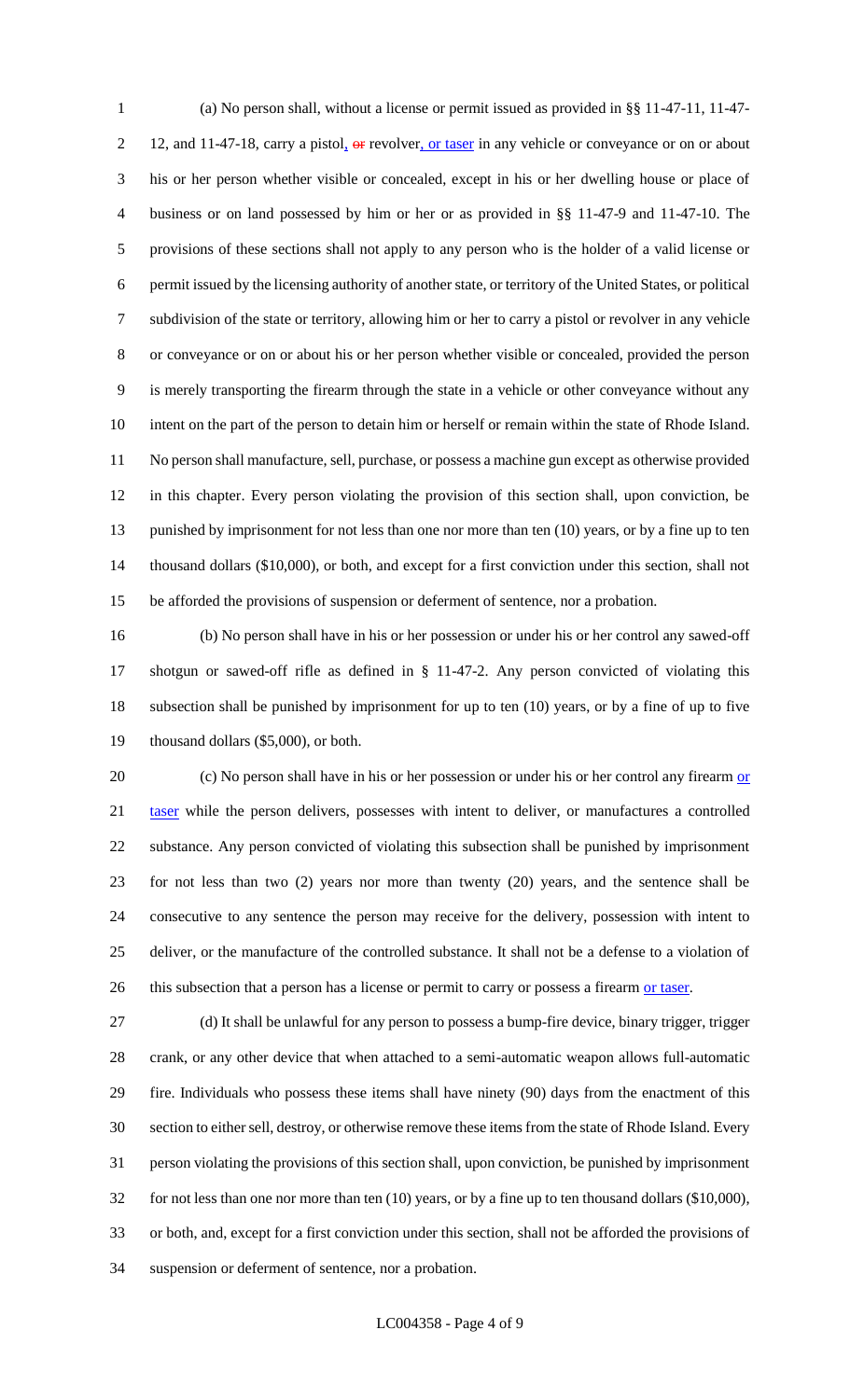(a) No person shall, without a license or permit issued as provided in §§ 11-47-11, 11-47- 2 12, and 11-47-18, carry a pistol, or revolver, or taser in any vehicle or conveyance or on or about his or her person whether visible or concealed, except in his or her dwelling house or place of business or on land possessed by him or her or as provided in §§ 11-47-9 and 11-47-10. The provisions of these sections shall not apply to any person who is the holder of a valid license or permit issued by the licensing authority of another state, or territory of the United States, or political subdivision of the state or territory, allowing him or her to carry a pistol or revolver in any vehicle or conveyance or on or about his or her person whether visible or concealed, provided the person is merely transporting the firearm through the state in a vehicle or other conveyance without any intent on the part of the person to detain him or herself or remain within the state of Rhode Island. No person shall manufacture, sell, purchase, or possess a machine gun except as otherwise provided in this chapter. Every person violating the provision of this section shall, upon conviction, be 13 punished by imprisonment for not less than one nor more than ten (10) years, or by a fine up to ten thousand dollars (\$10,000), or both, and except for a first conviction under this section, shall not be afforded the provisions of suspension or deferment of sentence, nor a probation.

 (b) No person shall have in his or her possession or under his or her control any sawed-off shotgun or sawed-off rifle as defined in § 11-47-2. Any person convicted of violating this subsection shall be punished by imprisonment for up to ten (10) years, or by a fine of up to five thousand dollars (\$5,000), or both.

20 (c) No person shall have in his or her possession or under his or her control any firearm or 21 taser while the person delivers, possesses with intent to deliver, or manufactures a controlled substance. Any person convicted of violating this subsection shall be punished by imprisonment for not less than two (2) years nor more than twenty (20) years, and the sentence shall be consecutive to any sentence the person may receive for the delivery, possession with intent to deliver, or the manufacture of the controlled substance. It shall not be a defense to a violation of 26 this subsection that a person has a license or permit to carry or possess a firearm or taser.

 (d) It shall be unlawful for any person to possess a bump-fire device, binary trigger, trigger crank, or any other device that when attached to a semi-automatic weapon allows full-automatic fire. Individuals who possess these items shall have ninety (90) days from the enactment of this section to either sell, destroy, or otherwise remove these items from the state of Rhode Island. Every person violating the provisions of this section shall, upon conviction, be punished by imprisonment for not less than one nor more than ten (10) years, or by a fine up to ten thousand dollars (\$10,000), or both, and, except for a first conviction under this section, shall not be afforded the provisions of suspension or deferment of sentence, nor a probation.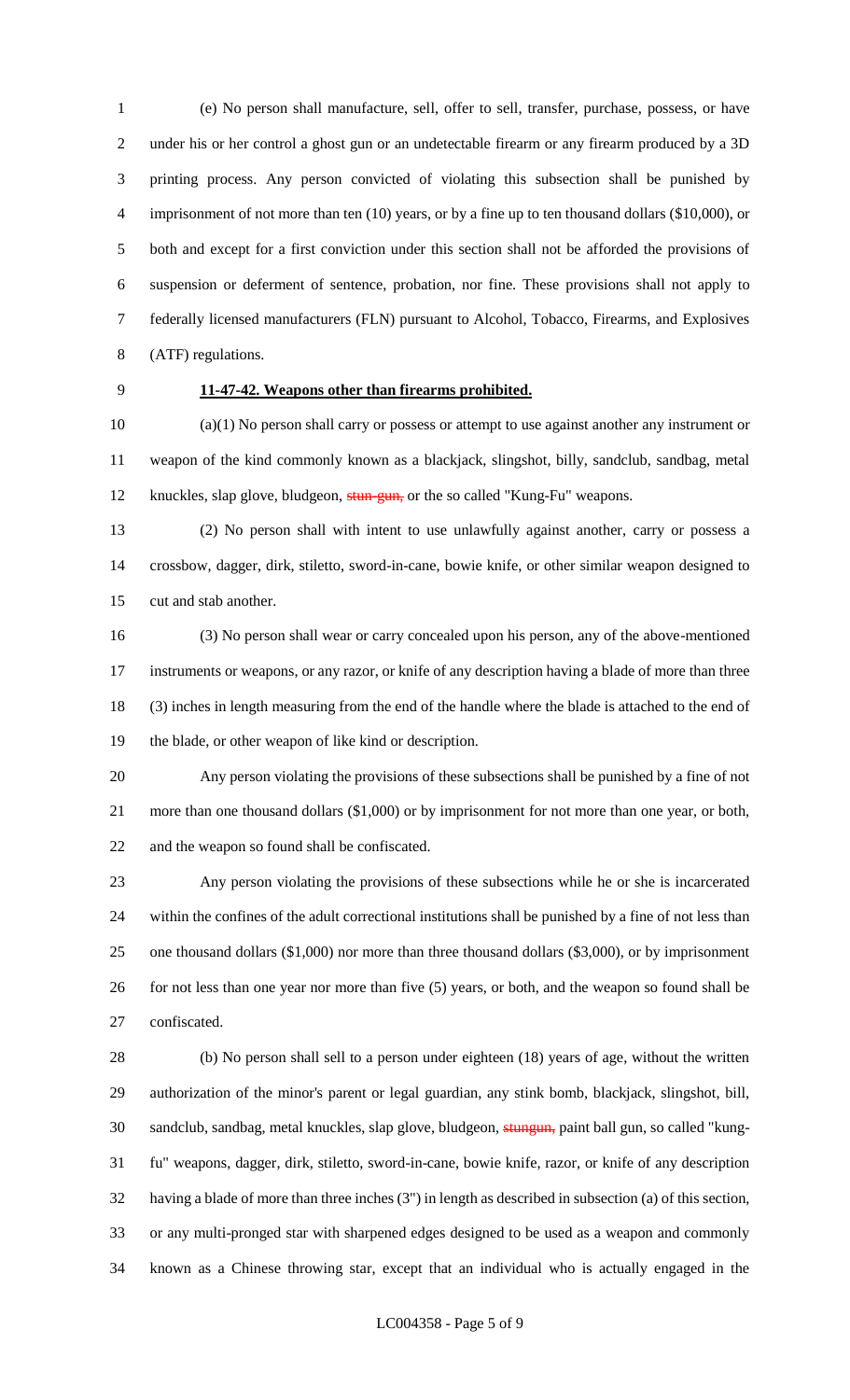(e) No person shall manufacture, sell, offer to sell, transfer, purchase, possess, or have under his or her control a ghost gun or an undetectable firearm or any firearm produced by a 3D printing process. Any person convicted of violating this subsection shall be punished by 4 imprisonment of not more than ten (10) years, or by a fine up to ten thousand dollars (\$10,000), or both and except for a first conviction under this section shall not be afforded the provisions of suspension or deferment of sentence, probation, nor fine. These provisions shall not apply to federally licensed manufacturers (FLN) pursuant to Alcohol, Tobacco, Firearms, and Explosives (ATF) regulations.

## **11-47-42. Weapons other than firearms prohibited.**

 (a)(1) No person shall carry or possess or attempt to use against another any instrument or weapon of the kind commonly known as a blackjack, slingshot, billy, sandclub, sandbag, metal 12 knuckles, slap glove, bludgeon, stun-gun, or the so called "Kung-Fu" weapons.

 (2) No person shall with intent to use unlawfully against another, carry or possess a crossbow, dagger, dirk, stiletto, sword-in-cane, bowie knife, or other similar weapon designed to cut and stab another.

 (3) No person shall wear or carry concealed upon his person, any of the above-mentioned instruments or weapons, or any razor, or knife of any description having a blade of more than three (3) inches in length measuring from the end of the handle where the blade is attached to the end of the blade, or other weapon of like kind or description.

 Any person violating the provisions of these subsections shall be punished by a fine of not more than one thousand dollars (\$1,000) or by imprisonment for not more than one year, or both, and the weapon so found shall be confiscated.

 Any person violating the provisions of these subsections while he or she is incarcerated within the confines of the adult correctional institutions shall be punished by a fine of not less than one thousand dollars (\$1,000) nor more than three thousand dollars (\$3,000), or by imprisonment for not less than one year nor more than five (5) years, or both, and the weapon so found shall be confiscated.

 (b) No person shall sell to a person under eighteen (18) years of age, without the written authorization of the minor's parent or legal guardian, any stink bomb, blackjack, slingshot, bill, 30 sandclub, sandbag, metal knuckles, slap glove, bludgeon, stungun, paint ball gun, so called "kung- fu" weapons, dagger, dirk, stiletto, sword-in-cane, bowie knife, razor, or knife of any description having a blade of more than three inches (3") in length as described in subsection (a) of this section, or any multi-pronged star with sharpened edges designed to be used as a weapon and commonly known as a Chinese throwing star, except that an individual who is actually engaged in the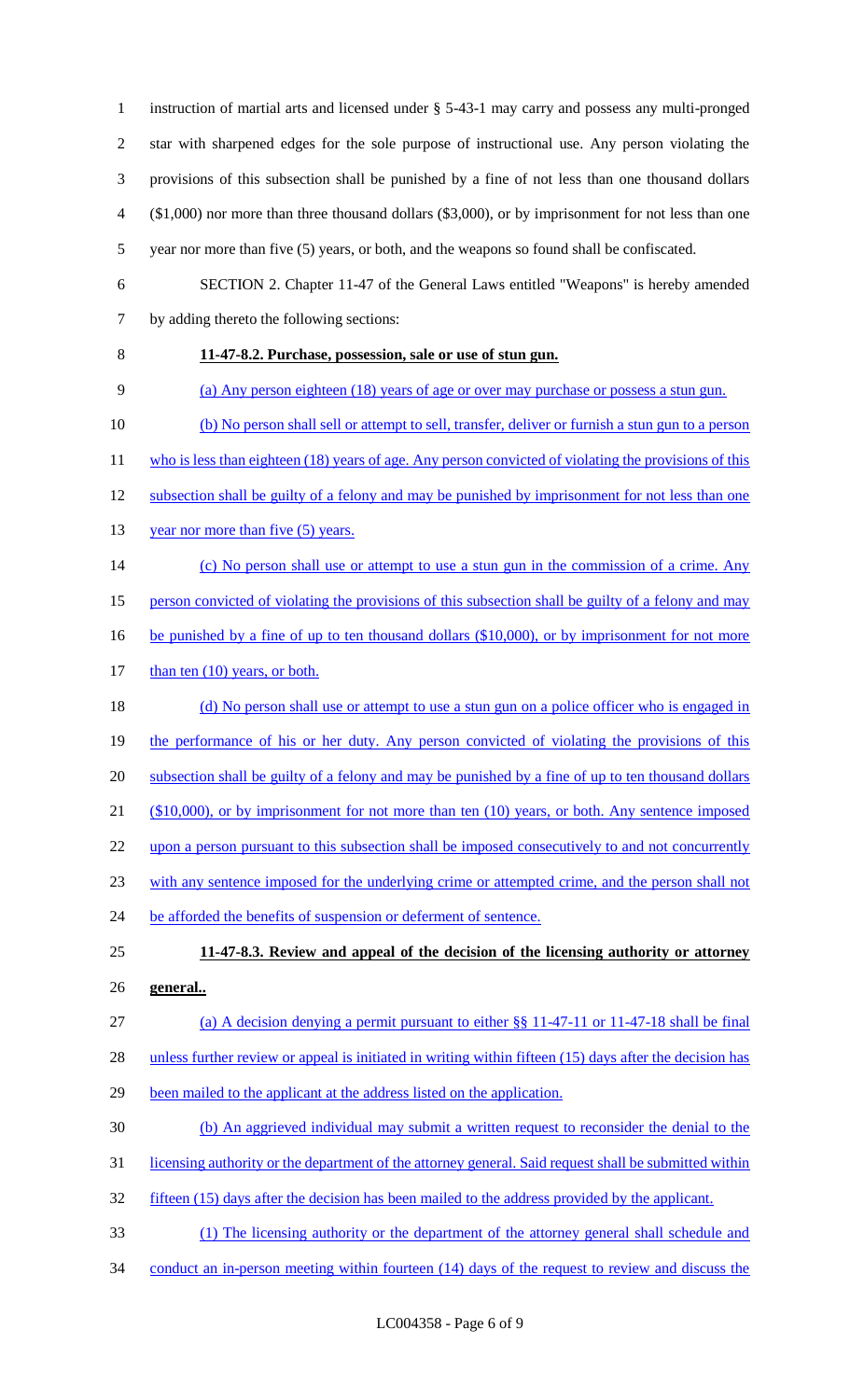instruction of martial arts and licensed under § 5-43-1 may carry and possess any multi-pronged star with sharpened edges for the sole purpose of instructional use. Any person violating the provisions of this subsection shall be punished by a fine of not less than one thousand dollars (\$1,000) nor more than three thousand dollars (\$3,000), or by imprisonment for not less than one year nor more than five (5) years, or both, and the weapons so found shall be confiscated. SECTION 2. Chapter 11-47 of the General Laws entitled "Weapons" is hereby amended by adding thereto the following sections: **11-47-8.2. Purchase, possession, sale or use of stun gun.**  (a) Any person eighteen (18) years of age or over may purchase or possess a stun gun. (b) No person shall sell or attempt to sell, transfer, deliver or furnish a stun gun to a person 11 who is less than eighteen (18) years of age. Any person convicted of violating the provisions of this

- 12 subsection shall be guilty of a felony and may be punished by imprisonment for not less than one
- 13 year nor more than five (5) years.
- 14 (c) No person shall use or attempt to use a stun gun in the commission of a crime. Any
- 15 person convicted of violating the provisions of this subsection shall be guilty of a felony and may
- 16 be punished by a fine of up to ten thousand dollars (\$10,000), or by imprisonment for not more
- 17 than ten (10) years, or both.

18 (d) No person shall use or attempt to use a stun gun on a police officer who is engaged in 19 the performance of his or her duty. Any person convicted of violating the provisions of this 20 subsection shall be guilty of a felony and may be punished by a fine of up to ten thousand dollars 21 (\$10,000), or by imprisonment for not more than ten (10) years, or both. Any sentence imposed 22 upon a person pursuant to this subsection shall be imposed consecutively to and not concurrently 23 with any sentence imposed for the underlying crime or attempted crime, and the person shall not 24 be afforded the benefits of suspension or deferment of sentence. 25 **11-47-8.3. Review and appeal of the decision of the licensing authority or attorney** 

26 **general..** 

## 27 (a) A decision denying a permit pursuant to either §§ 11-47-11 or 11-47-18 shall be final

28 unless further review or appeal is initiated in writing within fifteen (15) days after the decision has

- 29 been mailed to the applicant at the address listed on the application.
- 30 (b) An aggrieved individual may submit a written request to reconsider the denial to the
- 31 licensing authority or the department of the attorney general. Said request shall be submitted within
- 32 fifteen (15) days after the decision has been mailed to the address provided by the applicant.
- 33 (1) The licensing authority or the department of the attorney general shall schedule and
- 34 conduct an in-person meeting within fourteen (14) days of the request to review and discuss the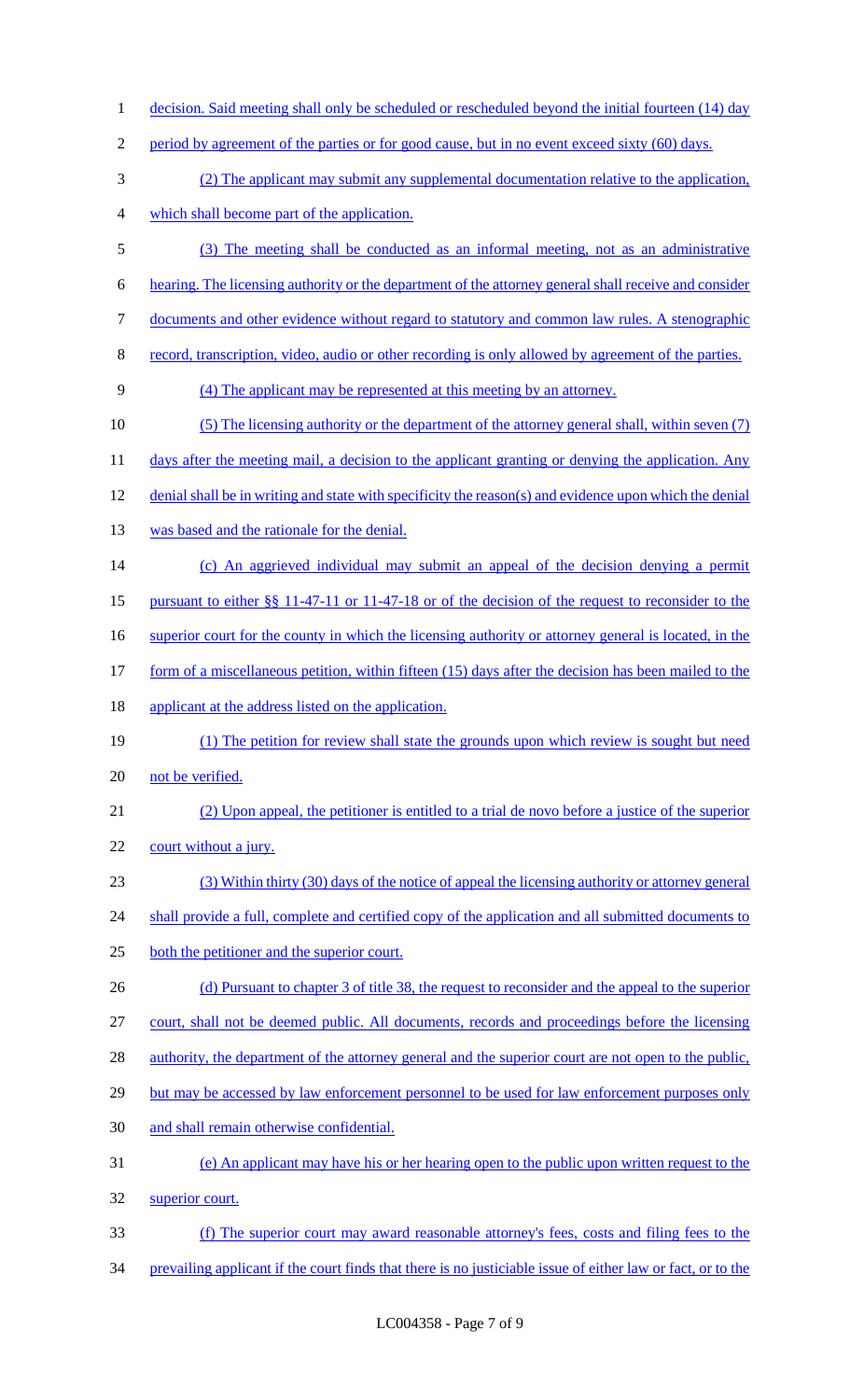1 decision. Said meeting shall only be scheduled or rescheduled beyond the initial fourteen (14) day 2 period by agreement of the parties or for good cause, but in no event exceed sixty (60) days. (2) The applicant may submit any supplemental documentation relative to the application, which shall become part of the application. (3) The meeting shall be conducted as an informal meeting, not as an administrative hearing. The licensing authority or the department of the attorney general shall receive and consider documents and other evidence without regard to statutory and common law rules. A stenographic record, transcription, video, audio or other recording is only allowed by agreement of the parties. (4) The applicant may be represented at this meeting by an attorney. (5) The licensing authority or the department of the attorney general shall, within seven (7) 11 days after the meeting mail, a decision to the applicant granting or denying the application. Any denial shall be in writing and state with specificity the reason(s) and evidence upon which the denial 13 was based and the rationale for the denial. (c) An aggrieved individual may submit an appeal of the decision denying a permit pursuant to either §§ 11-47-11 or 11-47-18 or of the decision of the request to reconsider to the 16 superior court for the county in which the licensing authority or attorney general is located, in the 17 form of a miscellaneous petition, within fifteen (15) days after the decision has been mailed to the 18 applicant at the address listed on the application. (1) The petition for review shall state the grounds upon which review is sought but need 20 not be verified. (2) Upon appeal, the petitioner is entitled to a trial de novo before a justice of the superior 22 court without a jury. (3) Within thirty (30) days of the notice of appeal the licensing authority or attorney general 24 shall provide a full, complete and certified copy of the application and all submitted documents to both the petitioner and the superior court. 26 (d) Pursuant to chapter 3 of title 38, the request to reconsider and the appeal to the superior court, shall not be deemed public. All documents, records and proceedings before the licensing 28 authority, the department of the attorney general and the superior court are not open to the public, 29 but may be accessed by law enforcement personnel to be used for law enforcement purposes only and shall remain otherwise confidential. (e) An applicant may have his or her hearing open to the public upon written request to the superior court. (f) The superior court may award reasonable attorney's fees, costs and filing fees to the prevailing applicant if the court finds that there is no justiciable issue of either law or fact, or to the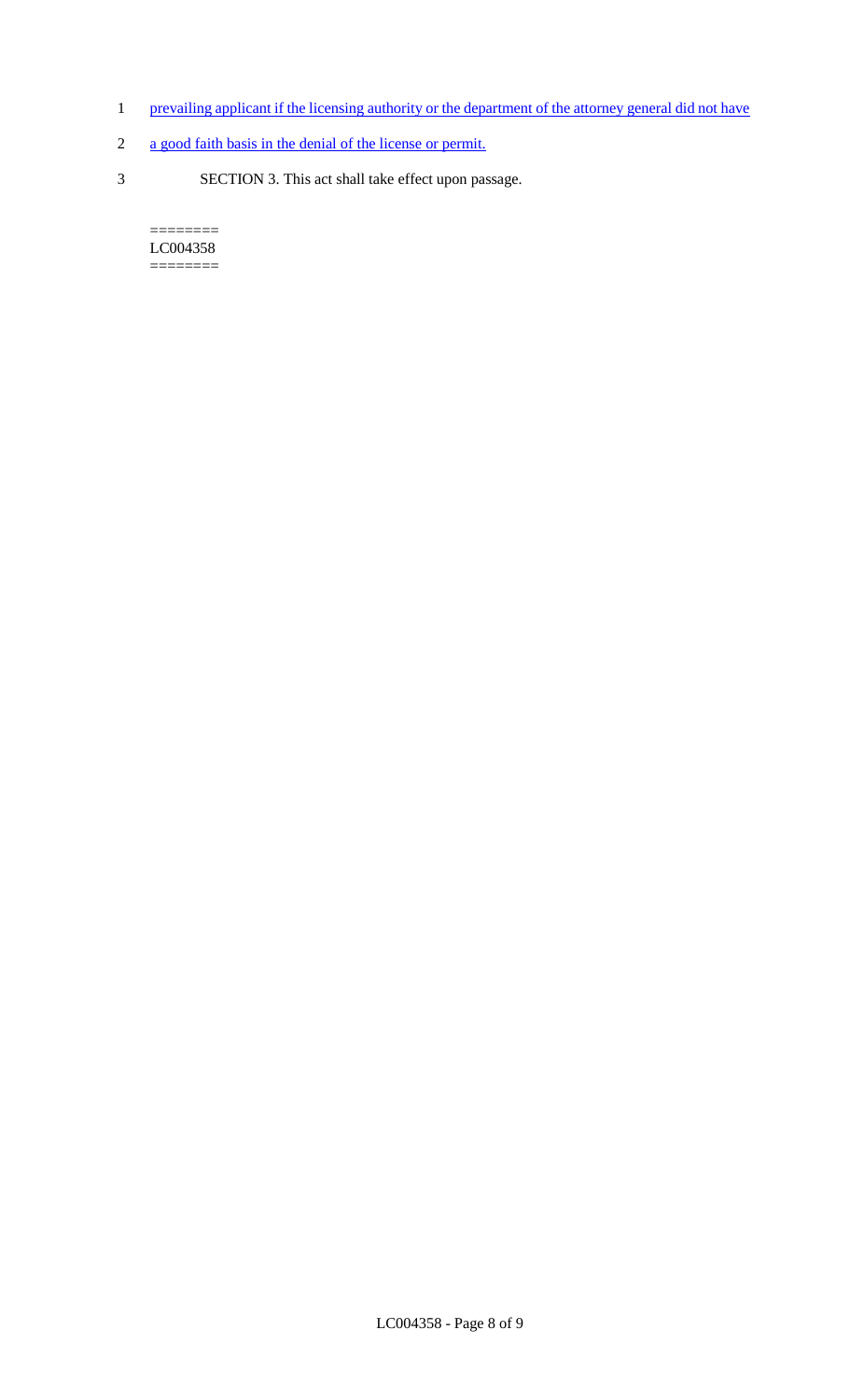- 1 prevailing applicant if the licensing authority or the department of the attorney general did not have
- 2 a good faith basis in the denial of the license or permit.
- 3 SECTION 3. This act shall take effect upon passage.

 $=$ LC004358 ========